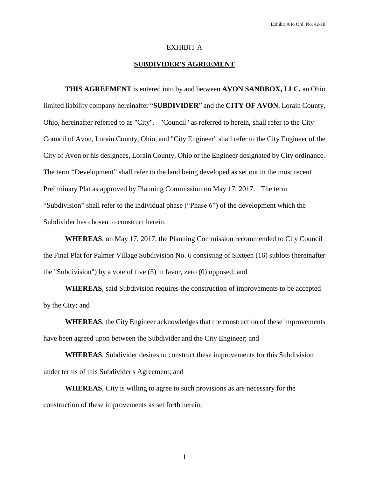# EXHIBIT A

# **SUBDIVIDER'S AGREEMENT**

**THIS AGREEMENT** is entered into by and between **AVON SANDBOX, LLC,** an Ohio limited liability company hereinafter "**SUBDIVIDER**" and the **CITY OF AVON**, Lorain County, Ohio, hereinafter referred to as "City". "Council" as referred to herein, shall refer to the City Council of Avon, Lorain County, Ohio, and "City Engineer" shall refer to the City Engineer of the City of Avon or his designees, Lorain County, Ohio or the Engineer designated by City ordinance. The term "Development" shall refer to the land being developed as set out in the most recent Preliminary Plat as approved by Planning Commission on May 17, 2017. The term "Subdivision" shall refer to the individual phase ("Phase 6") of the development which the Subdivider has chosen to construct herein.

**WHEREAS**, on May 17, 2017, the Planning Commission recommended to City Council the Final Plat for Palmer Village Subdivision No. 6 consisting of Sixteen (16) sublots (hereinafter the "Subdivision") by a vote of five (5) in favor, zero (0) opposed; and

**WHEREAS**, said Subdivision requires the construction of improvements to be accepted by the City; and

**WHEREAS**, the City Engineer acknowledges that the construction of these improvements have been agreed upon between the Subdivider and the City Engineer; and

**WHEREAS**, Subdivider desires to construct these improvements for this Subdivision under terms of this Subdivider's Agreement; and

**WHEREAS**, City is willing to agree to such provisions as are necessary for the construction of these improvements as set forth herein;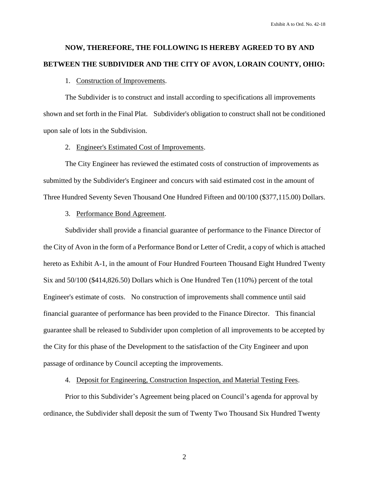# **NOW, THEREFORE, THE FOLLOWING IS HEREBY AGREED TO BY AND BETWEEN THE SUBDIVIDER AND THE CITY OF AVON, LORAIN COUNTY, OHIO:**

# 1. Construction of Improvements.

The Subdivider is to construct and install according to specifications all improvements shown and set forth in the Final Plat. Subdivider's obligation to construct shall not be conditioned upon sale of lots in the Subdivision.

# 2. Engineer's Estimated Cost of Improvements.

The City Engineer has reviewed the estimated costs of construction of improvements as submitted by the Subdivider's Engineer and concurs with said estimated cost in the amount of Three Hundred Seventy Seven Thousand One Hundred Fifteen and 00/100 (\$377,115.00) Dollars.

# 3. Performance Bond Agreement.

Subdivider shall provide a financial guarantee of performance to the Finance Director of the City of Avon in the form of a Performance Bond or Letter of Credit, a copy of which is attached hereto as Exhibit A-1, in the amount of Four Hundred Fourteen Thousand Eight Hundred Twenty Six and 50/100 (\$414,826.50) Dollars which is One Hundred Ten (110%) percent of the total Engineer's estimate of costs. No construction of improvements shall commence until said financial guarantee of performance has been provided to the Finance Director. This financial guarantee shall be released to Subdivider upon completion of all improvements to be accepted by the City for this phase of the Development to the satisfaction of the City Engineer and upon passage of ordinance by Council accepting the improvements.

# 4. Deposit for Engineering, Construction Inspection, and Material Testing Fees.

Prior to this Subdivider's Agreement being placed on Council's agenda for approval by ordinance, the Subdivider shall deposit the sum of Twenty Two Thousand Six Hundred Twenty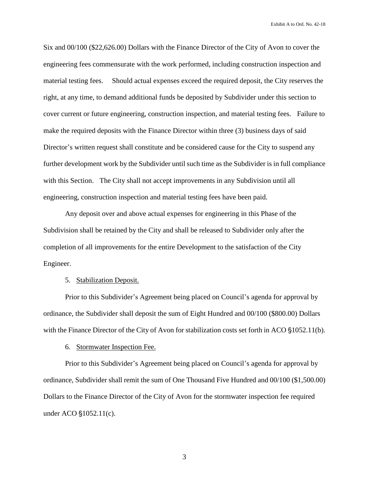Six and 00/100 (\$22,626.00) Dollars with the Finance Director of the City of Avon to cover the engineering fees commensurate with the work performed, including construction inspection and material testing fees. Should actual expenses exceed the required deposit, the City reserves the right, at any time, to demand additional funds be deposited by Subdivider under this section to cover current or future engineering, construction inspection, and material testing fees. Failure to make the required deposits with the Finance Director within three (3) business days of said Director's written request shall constitute and be considered cause for the City to suspend any further development work by the Subdivider until such time as the Subdivider is in full compliance with this Section. The City shall not accept improvements in any Subdivision until all engineering, construction inspection and material testing fees have been paid.

Any deposit over and above actual expenses for engineering in this Phase of the Subdivision shall be retained by the City and shall be released to Subdivider only after the completion of all improvements for the entire Development to the satisfaction of the City Engineer.

5. Stabilization Deposit.

Prior to this Subdivider's Agreement being placed on Council's agenda for approval by ordinance, the Subdivider shall deposit the sum of Eight Hundred and 00/100 (\$800.00) Dollars with the Finance Director of the City of Avon for stabilization costs set forth in ACO  $\S 1052.11(b)$ .

6. Stormwater Inspection Fee.

Prior to this Subdivider's Agreement being placed on Council's agenda for approval by ordinance, Subdivider shall remit the sum of One Thousand Five Hundred and 00/100 (\$1,500.00) Dollars to the Finance Director of the City of Avon for the stormwater inspection fee required under ACO  $$1052.11(c)$ .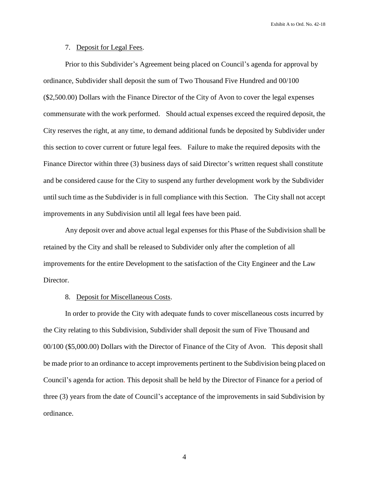## 7. Deposit for Legal Fees.

Prior to this Subdivider's Agreement being placed on Council's agenda for approval by ordinance, Subdivider shall deposit the sum of Two Thousand Five Hundred and 00/100 (\$2,500.00) Dollars with the Finance Director of the City of Avon to cover the legal expenses commensurate with the work performed. Should actual expenses exceed the required deposit, the City reserves the right, at any time, to demand additional funds be deposited by Subdivider under this section to cover current or future legal fees. Failure to make the required deposits with the Finance Director within three (3) business days of said Director's written request shall constitute and be considered cause for the City to suspend any further development work by the Subdivider until such time as the Subdivider is in full compliance with this Section. The City shall not accept improvements in any Subdivision until all legal fees have been paid.

Any deposit over and above actual legal expenses for this Phase of the Subdivision shall be retained by the City and shall be released to Subdivider only after the completion of all improvements for the entire Development to the satisfaction of the City Engineer and the Law Director.

# 8. Deposit for Miscellaneous Costs.

In order to provide the City with adequate funds to cover miscellaneous costs incurred by the City relating to this Subdivision, Subdivider shall deposit the sum of Five Thousand and 00/100 (\$5,000.00) Dollars with the Director of Finance of the City of Avon. This deposit shall be made prior to an ordinance to accept improvements pertinent to the Subdivision being placed on Council's agenda for action. This deposit shall be held by the Director of Finance for a period of three (3) years from the date of Council's acceptance of the improvements in said Subdivision by ordinance.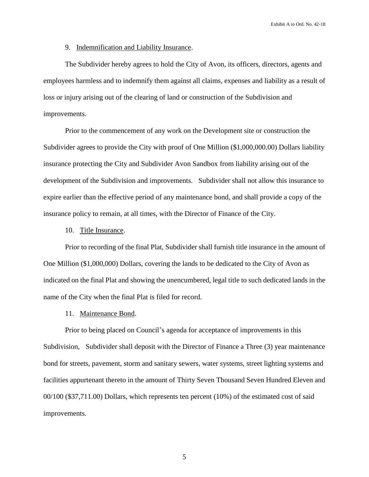# 9. Indemnification and Liability Insurance.

The Subdivider hereby agrees to hold the City of Avon, its officers, directors, agents and employees harmless and to indemnify them against all claims, expenses and liability as a result of loss or injury arising out of the clearing of land or construction of the Subdivision and improvements.

Prior to the commencement of any work on the Development site or construction the Subdivider agrees to provide the City with proof of One Million (\$1,000,000.00) Dollars liability insurance protecting the City and Subdivider Avon Sandbox from liability arising out of the development of the Subdivision and improvements. Subdivider shall not allow this insurance to expire earlier than the effective period of any maintenance bond, and shall provide a copy of the insurance policy to remain, at all times, with the Director of Finance of the City.

## 10. Title Insurance.

Prior to recording of the final Plat, Subdivider shall furnish title insurance in the amount of One Million (\$1,000,000) Dollars, covering the lands to be dedicated to the City of Avon as indicated on the final Plat and showing the unencumbered, legal title to such dedicated lands in the name of the City when the final Plat is filed for record.

#### 11. Maintenance Bond.

Prior to being placed on Council's agenda for acceptance of improvements in this Subdivision, Subdivider shall deposit with the Director of Finance a Three (3) year maintenance bond for streets, pavement, storm and sanitary sewers, water systems, street lighting systems and facilities appurtenant thereto in the amount of Thirty Seven Thousand Seven Hundred Eleven and 00/100 (\$37,711.00) Dollars, which represents ten percent (10%) of the estimated cost of said improvements.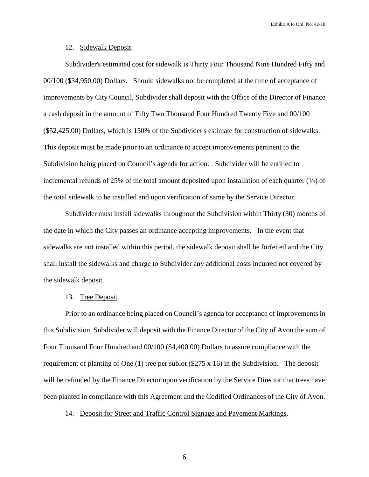#### 12. Sidewalk Deposit.

Subdivider's estimated cost for sidewalk is Thirty Four Thousand Nine Hundred Fifty and 00/100 (\$34,950.00) Dollars. Should sidewalks not be completed at the time of acceptance of improvements by City Council, Subdivider shall deposit with the Office of the Director of Finance a cash deposit in the amount of Fifty Two Thousand Four Hundred Twenty Five and 00/100 (\$52,425.00) Dollars, which is 150% of the Subdivider's estimate for construction of sidewalks. This deposit must be made prior to an ordinance to accept improvements pertinent to the Subdivision being placed on Council's agenda for action. Subdivider will be entitled to incremental refunds of 25% of the total amount deposited upon installation of each quarter  $(\frac{1}{4})$  of the total sidewalk to be installed and upon verification of same by the Service Director.

Subdivider must install sidewalks throughout the Subdivision within Thirty (30) months of the date in which the City passes an ordinance accepting improvements. In the event that sidewalks are not installed within this period, the sidewalk deposit shall be forfeited and the City shall install the sidewalks and charge to Subdivider any additional costs incurred not covered by the sidewalk deposit.

# 13. Tree Deposit.

Prior to an ordinance being placed on Council's agenda for acceptance of improvements in this Subdivision, Subdivider will deposit with the Finance Director of the City of Avon the sum of Four Thousand Four Hundred and 00/100 (\$4,400.00) Dollars to assure compliance with the requirement of planting of One (1) tree per sublot (\$275 x 16) in the Subdivision. The deposit will be refunded by the Finance Director upon verification by the Service Director that trees have been planted in compliance with this Agreement and the Codified Ordinances of the City of Avon.

14. Deposit for Street and Traffic Control Signage and Pavement Markings.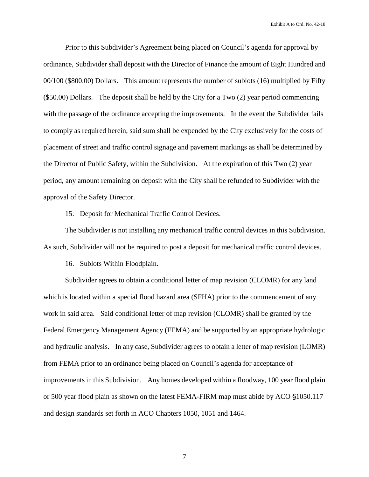Prior to this Subdivider's Agreement being placed on Council's agenda for approval by ordinance, Subdivider shall deposit with the Director of Finance the amount of Eight Hundred and 00/100 (\$800.00) Dollars. This amount represents the number of sublots (16) multiplied by Fifty (\$50.00) Dollars. The deposit shall be held by the City for a Two (2) year period commencing with the passage of the ordinance accepting the improvements. In the event the Subdivider fails to comply as required herein, said sum shall be expended by the City exclusively for the costs of placement of street and traffic control signage and pavement markings as shall be determined by the Director of Public Safety, within the Subdivision. At the expiration of this Two (2) year period, any amount remaining on deposit with the City shall be refunded to Subdivider with the approval of the Safety Director.

# 15. Deposit for Mechanical Traffic Control Devices.

The Subdivider is not installing any mechanical traffic control devices in this Subdivision. As such, Subdivider will not be required to post a deposit for mechanical traffic control devices.

## 16. Sublots Within Floodplain.

Subdivider agrees to obtain a conditional letter of map revision (CLOMR) for any land which is located within a special flood hazard area (SFHA) prior to the commencement of any work in said area. Said conditional letter of map revision (CLOMR) shall be granted by the Federal Emergency Management Agency (FEMA) and be supported by an appropriate hydrologic and hydraulic analysis. In any case, Subdivider agrees to obtain a letter of map revision (LOMR) from FEMA prior to an ordinance being placed on Council's agenda for acceptance of improvements in this Subdivision. Any homes developed within a floodway, 100 year flood plain or 500 year flood plain as shown on the latest FEMA-FIRM map must abide by ACO  $\S$ 1050.117 and design standards set forth in ACO Chapters 1050, 1051 and 1464.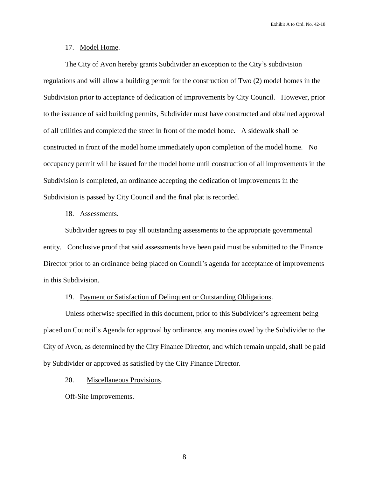# 17. Model Home.

The City of Avon hereby grants Subdivider an exception to the City's subdivision regulations and will allow a building permit for the construction of Two (2) model homes in the Subdivision prior to acceptance of dedication of improvements by City Council. However, prior to the issuance of said building permits, Subdivider must have constructed and obtained approval of all utilities and completed the street in front of the model home. A sidewalk shall be constructed in front of the model home immediately upon completion of the model home. No occupancy permit will be issued for the model home until construction of all improvements in the Subdivision is completed, an ordinance accepting the dedication of improvements in the Subdivision is passed by City Council and the final plat is recorded.

## 18. Assessments.

Subdivider agrees to pay all outstanding assessments to the appropriate governmental entity. Conclusive proof that said assessments have been paid must be submitted to the Finance Director prior to an ordinance being placed on Council's agenda for acceptance of improvements in this Subdivision.

# 19. Payment or Satisfaction of Delinquent or Outstanding Obligations.

Unless otherwise specified in this document, prior to this Subdivider's agreement being placed on Council's Agenda for approval by ordinance, any monies owed by the Subdivider to the City of Avon, as determined by the City Finance Director, and which remain unpaid, shall be paid by Subdivider or approved as satisfied by the City Finance Director.

# 20. Miscellaneous Provisions.

#### Off-Site Improvements.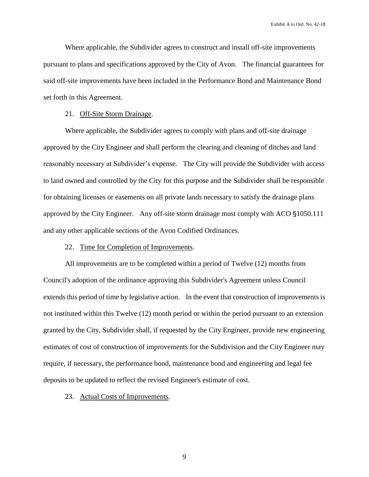Where applicable, the Subdivider agrees to construct and install off-site improvements pursuant to plans and specifications approved by the City of Avon. The financial guarantees for said off-site improvements have been included in the Performance Bond and Maintenance Bond set forth in this Agreement.

# 21. Off-Site Storm Drainage.

Where applicable, the Subdivider agrees to comply with plans and off-site drainage approved by the City Engineer and shall perform the clearing and cleaning of ditches and land reasonably necessary at Subdivider's expense. The City will provide the Subdivider with access to land owned and controlled by the City for this purpose and the Subdivider shall be responsible for obtaining licenses or easements on all private lands necessary to satisfy the drainage plans approved by the City Engineer. Any off-site storm drainage must comply with ACO  $\S 1050.111$ and any other applicable sections of the Avon Codified Ordinances.

# 22. Time for Completion of Improvements.

All improvements are to be completed within a period of Twelve (12) months from Council's adoption of the ordinance approving this Subdivider's Agreement unless Council extends this period of time by legislative action. In the event that construction of improvements is not instituted within this Twelve (12) month period or within the period pursuant to an extension granted by the City, Subdivider shall, if requested by the City Engineer, provide new engineering estimates of cost of construction of improvements for the Subdivision and the City Engineer may require, if necessary, the performance bond, maintenance bond and engineering and legal fee deposits to be updated to reflect the revised Engineer's estimate of cost.

#### 23. Actual Costs of Improvements.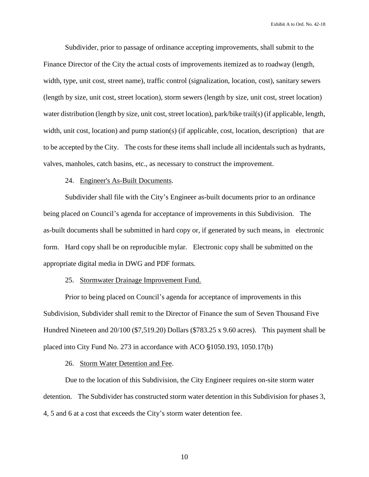Subdivider, prior to passage of ordinance accepting improvements, shall submit to the Finance Director of the City the actual costs of improvements itemized as to roadway (length, width, type, unit cost, street name), traffic control (signalization, location, cost), sanitary sewers (length by size, unit cost, street location), storm sewers (length by size, unit cost, street location) water distribution (length by size, unit cost, street location), park/bike trail(s) (if applicable, length, width, unit cost, location) and pump station(s) (if applicable, cost, location, description) that are to be accepted by the City. The costs for these items shall include all incidentals such as hydrants, valves, manholes, catch basins, etc., as necessary to construct the improvement.

# 24. Engineer's As-Built Documents.

Subdivider shall file with the City's Engineer as-built documents prior to an ordinance being placed on Council's agenda for acceptance of improvements in this Subdivision. The as-built documents shall be submitted in hard copy or, if generated by such means, in electronic form. Hard copy shall be on reproducible mylar. Electronic copy shall be submitted on the appropriate digital media in DWG and PDF formats.

## 25. Stormwater Drainage Improvement Fund.

Prior to being placed on Council's agenda for acceptance of improvements in this Subdivision, Subdivider shall remit to the Director of Finance the sum of Seven Thousand Five Hundred Nineteen and 20/100 (\$7,519.20) Dollars (\$783.25 x 9.60 acres). This payment shall be placed into City Fund No. 273 in accordance with ACO  $$1050.193, 1050.17(b)$ 

## 26. Storm Water Detention and Fee.

Due to the location of this Subdivision, the City Engineer requires on-site storm water detention. The Subdivider has constructed storm water detention in this Subdivision for phases 3, 4, 5 and 6 at a cost that exceeds the City's storm water detention fee.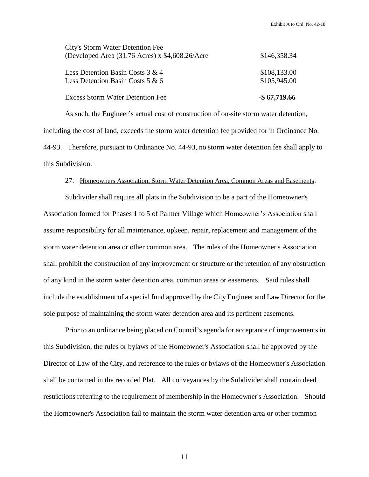| <b>Excess Storm Water Detention Fee</b>         | $-$ \$67,719.66 |
|-------------------------------------------------|-----------------|
| Less Detention Basin Costs 5 & 6                | \$105,945.00    |
| Less Detention Basin Costs $3 & 4$              | \$108,133.00    |
| (Developed Area (31.76 Acres) x \$4,608.26/Acre | \$146,358.34    |
| City's Storm Water Detention Fee                |                 |

As such, the Engineer's actual cost of construction of on-site storm water detention, including the cost of land, exceeds the storm water detention fee provided for in Ordinance No. 44-93. Therefore, pursuant to Ordinance No. 44-93, no storm water detention fee shall apply to this Subdivision.

## 27. Homeowners Association, Storm Water Detention Area, Common Areas and Easements.

Subdivider shall require all plats in the Subdivision to be a part of the Homeowner's Association formed for Phases 1 to 5 of Palmer Village which Homeowner's Association shall assume responsibility for all maintenance, upkeep, repair, replacement and management of the storm water detention area or other common area. The rules of the Homeowner's Association shall prohibit the construction of any improvement or structure or the retention of any obstruction of any kind in the storm water detention area, common areas or easements. Said rules shall include the establishment of a special fund approved by the City Engineer and Law Director for the sole purpose of maintaining the storm water detention area and its pertinent easements.

Prior to an ordinance being placed on Council's agenda for acceptance of improvements in this Subdivision, the rules or bylaws of the Homeowner's Association shall be approved by the Director of Law of the City, and reference to the rules or bylaws of the Homeowner's Association shall be contained in the recorded Plat. All conveyances by the Subdivider shall contain deed restrictions referring to the requirement of membership in the Homeowner's Association. Should the Homeowner's Association fail to maintain the storm water detention area or other common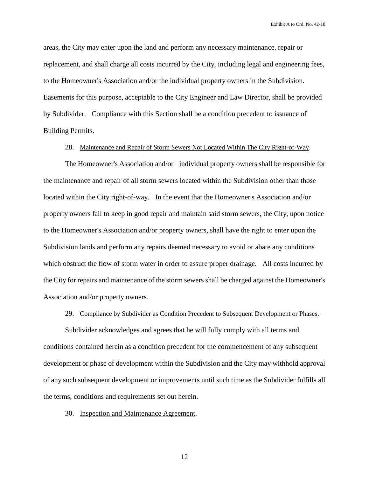areas, the City may enter upon the land and perform any necessary maintenance, repair or replacement, and shall charge all costs incurred by the City, including legal and engineering fees, to the Homeowner's Association and/or the individual property owners in the Subdivision. Easements for this purpose, acceptable to the City Engineer and Law Director, shall be provided by Subdivider. Compliance with this Section shall be a condition precedent to issuance of Building Permits.

# 28. Maintenance and Repair of Storm Sewers Not Located Within The City Right-of-Way.

The Homeowner's Association and/or individual property owners shall be responsible for the maintenance and repair of all storm sewers located within the Subdivision other than those located within the City right-of-way. In the event that the Homeowner's Association and/or property owners fail to keep in good repair and maintain said storm sewers, the City, upon notice to the Homeowner's Association and/or property owners, shall have the right to enter upon the Subdivision lands and perform any repairs deemed necessary to avoid or abate any conditions which obstruct the flow of storm water in order to assure proper drainage. All costs incurred by the City for repairs and maintenance of the storm sewers shall be charged against the Homeowner's Association and/or property owners.

# 29. Compliance by Subdivider as Condition Precedent to Subsequent Development or Phases.

Subdivider acknowledges and agrees that he will fully comply with all terms and conditions contained herein as a condition precedent for the commencement of any subsequent development or phase of development within the Subdivision and the City may withhold approval of any such subsequent development or improvements until such time as the Subdivider fulfills all the terms, conditions and requirements set out herein.

30. Inspection and Maintenance Agreement.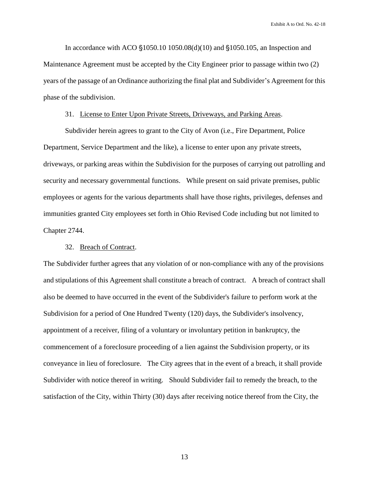In accordance with ACO  $$1050.10 1050.08(d)(10)$  and  $$1050.105$ , an Inspection and Maintenance Agreement must be accepted by the City Engineer prior to passage within two (2) years of the passage of an Ordinance authorizing the final plat and Subdivider's Agreement for this phase of the subdivision.

# 31. License to Enter Upon Private Streets, Driveways, and Parking Areas.

Subdivider herein agrees to grant to the City of Avon (i.e., Fire Department, Police Department, Service Department and the like), a license to enter upon any private streets, driveways, or parking areas within the Subdivision for the purposes of carrying out patrolling and security and necessary governmental functions. While present on said private premises, public employees or agents for the various departments shall have those rights, privileges, defenses and immunities granted City employees set forth in Ohio Revised Code including but not limited to Chapter 2744.

# 32. Breach of Contract.

The Subdivider further agrees that any violation of or non-compliance with any of the provisions and stipulations of this Agreement shall constitute a breach of contract. A breach of contract shall also be deemed to have occurred in the event of the Subdivider's failure to perform work at the Subdivision for a period of One Hundred Twenty (120) days, the Subdivider's insolvency, appointment of a receiver, filing of a voluntary or involuntary petition in bankruptcy, the commencement of a foreclosure proceeding of a lien against the Subdivision property, or its conveyance in lieu of foreclosure. The City agrees that in the event of a breach, it shall provide Subdivider with notice thereof in writing. Should Subdivider fail to remedy the breach, to the satisfaction of the City, within Thirty (30) days after receiving notice thereof from the City, the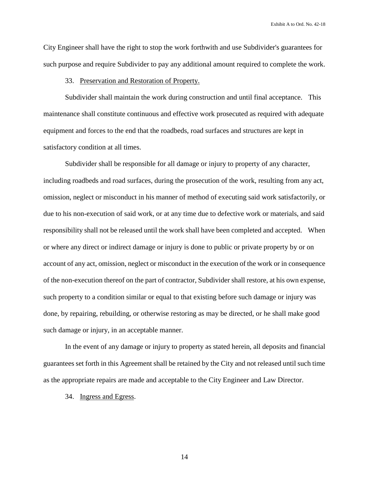City Engineer shall have the right to stop the work forthwith and use Subdivider's guarantees for such purpose and require Subdivider to pay any additional amount required to complete the work.

# 33. Preservation and Restoration of Property.

Subdivider shall maintain the work during construction and until final acceptance. This maintenance shall constitute continuous and effective work prosecuted as required with adequate equipment and forces to the end that the roadbeds, road surfaces and structures are kept in satisfactory condition at all times.

Subdivider shall be responsible for all damage or injury to property of any character, including roadbeds and road surfaces, during the prosecution of the work, resulting from any act, omission, neglect or misconduct in his manner of method of executing said work satisfactorily, or due to his non-execution of said work, or at any time due to defective work or materials, and said responsibility shall not be released until the work shall have been completed and accepted. When or where any direct or indirect damage or injury is done to public or private property by or on account of any act, omission, neglect or misconduct in the execution of the work or in consequence of the non-execution thereof on the part of contractor, Subdivider shall restore, at his own expense, such property to a condition similar or equal to that existing before such damage or injury was done, by repairing, rebuilding, or otherwise restoring as may be directed, or he shall make good such damage or injury, in an acceptable manner.

In the event of any damage or injury to property as stated herein, all deposits and financial guarantees set forth in this Agreement shall be retained by the City and not released until such time as the appropriate repairs are made and acceptable to the City Engineer and Law Director.

# 34. Ingress and Egress.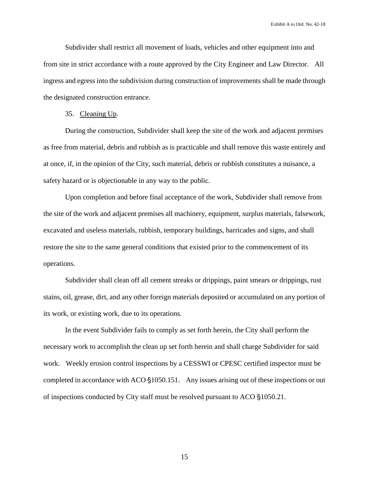Subdivider shall restrict all movement of loads, vehicles and other equipment into and from site in strict accordance with a route approved by the City Engineer and Law Director. All ingress and egress into the subdivision during construction of improvements shall be made through the designated construction entrance.

35. Cleaning Up.

During the construction, Subdivider shall keep the site of the work and adjacent premises as free from material, debris and rubbish as is practicable and shall remove this waste entirely and at once, if, in the opinion of the City, such material, debris or rubbish constitutes a nuisance, a safety hazard or is objectionable in any way to the public.

Upon completion and before final acceptance of the work, Subdivider shall remove from the site of the work and adjacent premises all machinery, equipment, surplus materials, falsework, excavated and useless materials, rubbish, temporary buildings, barricades and signs, and shall restore the site to the same general conditions that existed prior to the commencement of its operations.

Subdivider shall clean off all cement streaks or drippings, paint smears or drippings, rust stains, oil, grease, dirt, and any other foreign materials deposited or accumulated on any portion of its work, or existing work, due to its operations.

In the event Subdivider fails to comply as set forth herein, the City shall perform the necessary work to accomplish the clean up set forth herein and shall charge Subdivider for said work. Weekly erosion control inspections by a CESSWI or CPESC certified inspector must be completed in accordance with ACO  $\S1050.151$ . Any issues arising out of these inspections or out of inspections conducted by City staff must be resolved pursuant to ACO §1050.21.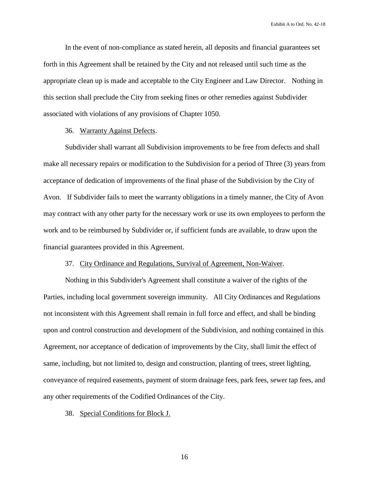In the event of non-compliance as stated herein, all deposits and financial guarantees set forth in this Agreement shall be retained by the City and not released until such time as the appropriate clean up is made and acceptable to the City Engineer and Law Director. Nothing in this section shall preclude the City from seeking fines or other remedies against Subdivider associated with violations of any provisions of Chapter 1050.

## 36. Warranty Against Defects.

Subdivider shall warrant all Subdivision improvements to be free from defects and shall make all necessary repairs or modification to the Subdivision for a period of Three (3) years from acceptance of dedication of improvements of the final phase of the Subdivision by the City of Avon. If Subdivider fails to meet the warranty obligations in a timely manner, the City of Avon may contract with any other party for the necessary work or use its own employees to perform the work and to be reimbursed by Subdivider or, if sufficient funds are available, to draw upon the financial guarantees provided in this Agreement.

# 37. City Ordinance and Regulations, Survival of Agreement, Non-Waiver.

Nothing in this Subdivider's Agreement shall constitute a waiver of the rights of the Parties, including local government sovereign immunity. All City Ordinances and Regulations not inconsistent with this Agreement shall remain in full force and effect, and shall be binding upon and control construction and development of the Subdivision, and nothing contained in this Agreement, nor acceptance of dedication of improvements by the City, shall limit the effect of same, including, but not limited to, design and construction, planting of trees, street lighting, conveyance of required easements, payment of storm drainage fees, park fees, sewer tap fees, and any other requirements of the Codified Ordinances of the City.

38. Special Conditions for Block J.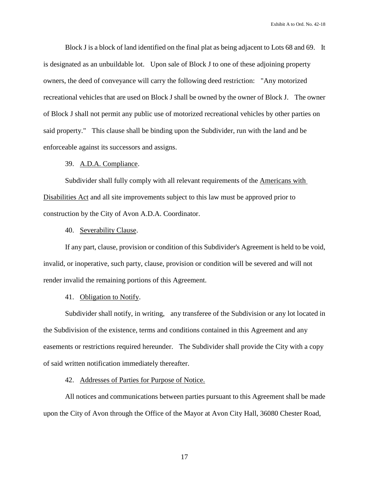Block J is a block of land identified on the final plat as being adjacent to Lots 68 and 69. It is designated as an unbuildable lot. Upon sale of Block J to one of these adjoining property owners, the deed of conveyance will carry the following deed restriction: "Any motorized recreational vehicles that are used on Block J shall be owned by the owner of Block J. The owner of Block J shall not permit any public use of motorized recreational vehicles by other parties on said property." This clause shall be binding upon the Subdivider, run with the land and be enforceable against its successors and assigns.

# 39. A.D.A. Compliance.

Subdivider shall fully comply with all relevant requirements of the **Americans with** Disabilities Act and all site improvements subject to this law must be approved prior to construction by the City of Avon A.D.A. Coordinator.

## 40. Severability Clause.

If any part, clause, provision or condition of this Subdivider's Agreement is held to be void, invalid, or inoperative, such party, clause, provision or condition will be severed and will not render invalid the remaining portions of this Agreement.

#### 41. Obligation to Notify.

Subdivider shall notify, in writing, any transferee of the Subdivision or any lot located in the Subdivision of the existence, terms and conditions contained in this Agreement and any easements or restrictions required hereunder. The Subdivider shall provide the City with a copy of said written notification immediately thereafter.

# 42. Addresses of Parties for Purpose of Notice.

All notices and communications between parties pursuant to this Agreement shall be made upon the City of Avon through the Office of the Mayor at Avon City Hall, 36080 Chester Road,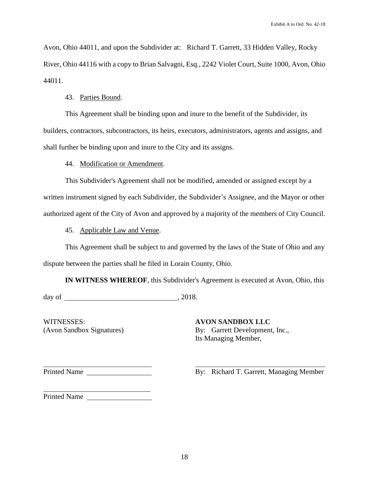Avon, Ohio 44011, and upon the Subdivider at: Richard T. Garrett, 33 Hidden Valley, Rocky River, Ohio 44116 with a copy to Brian Salvagni, Esq., 2242 Violet Court, Suite 1000, Avon, Ohio 44011.

# 43. Parties Bound.

This Agreement shall be binding upon and inure to the benefit of the Subdivider, its builders, contractors, subcontractors, its heirs, executors, administrators, agents and assigns, and shall further be binding upon and inure to the City and its assigns.

44. Modification or Amendment.

This Subdivider's Agreement shall not be modified, amended or assigned except by a written instrument signed by each Subdivider, the Subdivider's Assignee, and the Mayor or other authorized agent of the City of Avon and approved by a majority of the members of City Council.

45. Applicable Law and Venue.

This Agreement shall be subject to and governed by the laws of the State of Ohio and any dispute between the parties shall be filed in Lorain County, Ohio.

**IN WITNESS WHEREOF**, this Subdivider's Agreement is executed at Avon, Ohio, this  $day of$  , 2018.

WITNESSES: **AVON SANDBOX LLC**

(Avon Sandbox Signatures) By: Garrett Development, Inc., Its Managing Member,

Printed Name

 $\overline{a}$ 

By: Richard T. Garrett, Managing Member

Printed Name